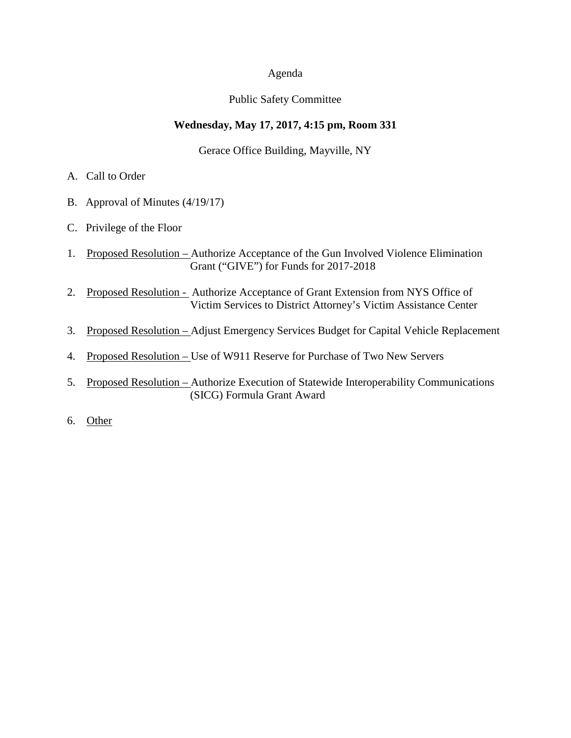### Agenda

## Public Safety Committee

# **Wednesday, May 17, 2017, 4:15 pm, Room 331**

Gerace Office Building, Mayville, NY

- A. Call to Order
- B. Approval of Minutes (4/19/17)
- C. Privilege of the Floor
- 1. Proposed Resolution Authorize Acceptance of the Gun Involved Violence Elimination Grant ("GIVE") for Funds for 2017-2018
- 2. Proposed Resolution Authorize Acceptance of Grant Extension from NYS Office of Victim Services to District Attorney's Victim Assistance Center
- 3. Proposed Resolution Adjust Emergency Services Budget for Capital Vehicle Replacement
- 4. Proposed Resolution Use of W911 Reserve for Purchase of Two New Servers
- 5. Proposed Resolution Authorize Execution of Statewide Interoperability Communications (SICG) Formula Grant Award
- 6. Other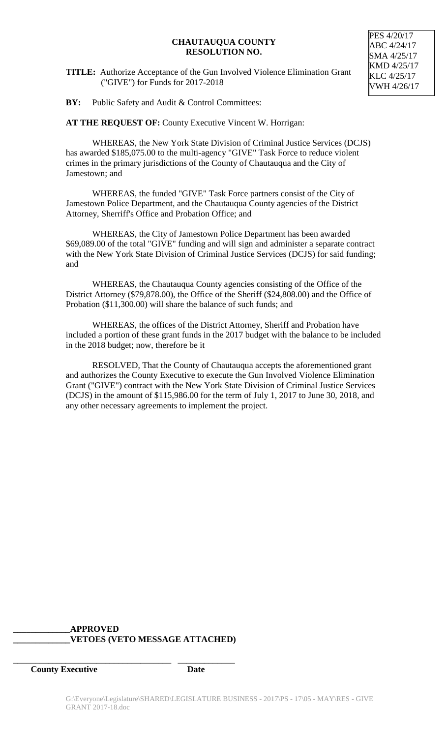## **CHAUTAUQUA COUNTY RESOLUTION NO.**

**TITLE:** Authorize Acceptance of the Gun Involved Violence Elimination Grant ("GIVE") for Funds for 2017-2018

**BY:** Public Safety and Audit & Control Committees:

**AT THE REQUEST OF:** County Executive Vincent W. Horrigan:

WHEREAS, the New York State Division of Criminal Justice Services (DCJS) has awarded \$185,075.00 to the multi-agency "GIVE" Task Force to reduce violent crimes in the primary jurisdictions of the County of Chautauqua and the City of Jamestown; and

WHEREAS, the funded "GIVE" Task Force partners consist of the City of Jamestown Police Department, and the Chautauqua County agencies of the District Attorney, Sherriff's Office and Probation Office; and

WHEREAS, the City of Jamestown Police Department has been awarded \$69,089.00 of the total "GIVE" funding and will sign and administer a separate contract with the New York State Division of Criminal Justice Services (DCJS) for said funding; and

WHEREAS, the Chautauqua County agencies consisting of the Office of the District Attorney (\$79,878.00), the Office of the Sheriff (\$24,808.00) and the Office of Probation (\$11,300.00) will share the balance of such funds; and

WHEREAS, the offices of the District Attorney, Sheriff and Probation have included a portion of these grant funds in the 2017 budget with the balance to be included in the 2018 budget; now, therefore be it

RESOLVED, That the County of Chautauqua accepts the aforementioned grant and authorizes the County Executive to execute the Gun Involved Violence Elimination Grant ("GIVE") contract with the New York State Division of Criminal Justice Services (DCJS) in the amount of \$115,986.00 for the term of July 1, 2017 to June 30, 2018, and any other necessary agreements to implement the project.

# **\_\_\_\_\_\_\_\_\_\_\_\_\_APPROVED \_\_\_\_\_\_\_\_\_\_\_\_\_VETOES (VETO MESSAGE ATTACHED)**

**\_\_\_\_\_\_\_\_\_\_\_\_\_\_\_\_\_\_\_\_\_\_\_\_\_\_\_\_\_\_\_\_\_\_\_\_ \_\_\_\_\_\_\_\_\_\_\_\_\_**

**County Executive Date**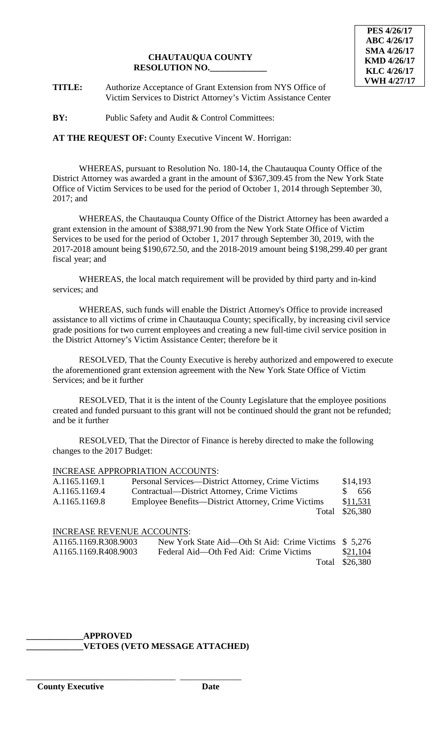

**TITLE:** Authorize Acceptance of Grant Extension from NYS Office of Victim Services to District Attorney's Victim Assistance Center

**BY:** Public Safety and Audit & Control Committees:

# **AT THE REQUEST OF:** County Executive Vincent W. Horrigan:

WHEREAS, pursuant to Resolution No. 180-14, the Chautauqua County Office of the District Attorney was awarded a grant in the amount of \$367,309.45 from the New York State Office of Victim Services to be used for the period of October 1, 2014 through September 30, 2017; and

WHEREAS, the Chautauqua County Office of the District Attorney has been awarded a grant extension in the amount of \$388,971.90 from the New York State Office of Victim Services to be used for the period of October 1, 2017 through September 30, 2019, with the 2017-2018 amount being \$190,672.50, and the 2018-2019 amount being \$198,299.40 per grant fiscal year; and

WHEREAS, the local match requirement will be provided by third party and in-kind services; and

WHEREAS, such funds will enable the District Attorney's Office to provide increased assistance to all victims of crime in Chautauqua County; specifically, by increasing civil service grade positions for two current employees and creating a new full-time civil service position in the District Attorney's Victim Assistance Center; therefore be it

RESOLVED, That the County Executive is hereby authorized and empowered to execute the aforementioned grant extension agreement with the New York State Office of Victim Services; and be it further

RESOLVED, That it is the intent of the County Legislature that the employee positions created and funded pursuant to this grant will not be continued should the grant not be refunded; and be it further

RESOLVED, That the Director of Finance is hereby directed to make the following changes to the 2017 Budget:

## INCREASE APPROPRIATION ACCOUNTS:

| A.1165.1169.1 | Personal Services—District Attorney, Crime Victims | \$14,193             |
|---------------|----------------------------------------------------|----------------------|
| A.1165.1169.4 | Contractual—District Attorney, Crime Victims       | $\mathcal{S}$<br>656 |
| A.1165.1169.8 | Employee Benefits—District Attorney, Crime Victims | \$11,531             |
|               |                                                    | Total \$26,380       |
|               |                                                    |                      |

#### INCREASE REVENUE ACCOUNTS:

| A1165.1169.R308.9003 | New York State Aid—Oth St Aid: Crime Victims \$5,276 |                |
|----------------------|------------------------------------------------------|----------------|
| A1165.1169.R408.9003 | Federal Aid—Oth Fed Aid: Crime Victims               | \$21,104       |
|                      |                                                      | Total \$26,380 |

#### **\_\_\_\_\_\_\_\_\_\_\_\_\_APPROVED \_\_\_\_\_\_\_\_\_\_\_\_\_VETOES (VETO MESSAGE ATTACHED)**

\_\_\_\_\_\_\_\_\_\_\_\_\_\_\_\_\_\_\_\_\_\_\_\_\_\_\_\_\_\_\_\_\_\_ \_\_\_\_\_\_\_\_\_\_\_\_\_\_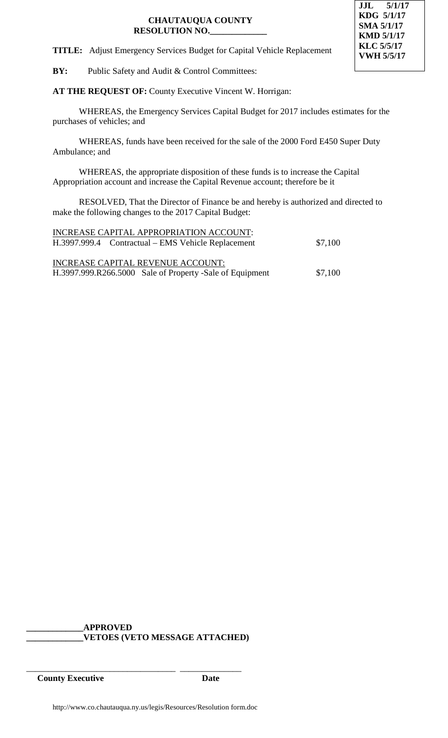

**TITLE:** Adjust Emergency Services Budget for Capital Vehicle Replacement

**BY:** Public Safety and Audit & Control Committees:

**AT THE REQUEST OF:** County Executive Vincent W. Horrigan:

WHEREAS, the Emergency Services Capital Budget for 2017 includes estimates for the purchases of vehicles; and

WHEREAS, funds have been received for the sale of the 2000 Ford E450 Super Duty Ambulance; and

WHEREAS, the appropriate disposition of these funds is to increase the Capital Appropriation account and increase the Capital Revenue account; therefore be it

RESOLVED, That the Director of Finance be and hereby is authorized and directed to make the following changes to the 2017 Capital Budget:

| INCREASE CAPITAL APPROPRIATION ACCOUNT:<br>H.3997.999.4 Contractual – EMS Vehicle Replacement | \$7,100 |
|-----------------------------------------------------------------------------------------------|---------|
| INCREASE CAPITAL REVENUE ACCOUNT:<br>H.3997.999.R266.5000 Sale of Property -Sale of Equipment | \$7,100 |

**\_\_\_\_\_\_\_\_\_\_\_\_\_APPROVED \_\_\_\_\_\_\_\_\_\_\_\_\_VETOES (VETO MESSAGE ATTACHED)**

\_\_\_\_\_\_\_\_\_\_\_\_\_\_\_\_\_\_\_\_\_\_\_\_\_\_\_\_\_\_\_\_\_\_ \_\_\_\_\_\_\_\_\_\_\_\_\_\_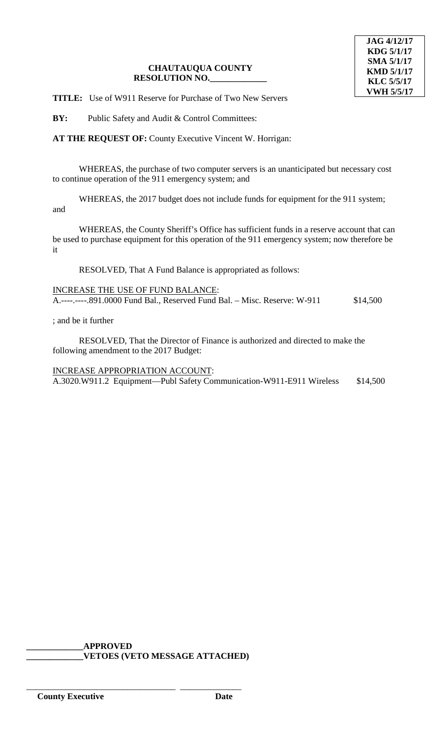**TITLE:** Use of W911 Reserve for Purchase of Two New Servers

**BY:** Public Safety and Audit & Control Committees:

**AT THE REQUEST OF:** County Executive Vincent W. Horrigan:

WHEREAS, the purchase of two computer servers is an unanticipated but necessary cost to continue operation of the 911 emergency system; and

WHEREAS, the 2017 budget does not include funds for equipment for the 911 system; and

WHEREAS, the County Sheriff's Office has sufficient funds in a reserve account that can be used to purchase equipment for this operation of the 911 emergency system; now therefore be it

RESOLVED, That A Fund Balance is appropriated as follows:

INCREASE THE USE OF FUND BALANCE: A.----.----.891.0000 Fund Bal., Reserved Fund Bal. – Misc. Reserve: W-911 \$14,500

; and be it further

RESOLVED, That the Director of Finance is authorized and directed to make the following amendment to the 2017 Budget:

INCREASE APPROPRIATION ACCOUNT: A.3020.W911.2 Equipment—Publ Safety Communication-W911-E911 Wireless \$14,500

**\_\_\_\_\_\_\_\_\_\_\_\_\_APPROVED**

\_\_\_\_\_\_\_\_\_\_\_\_\_\_\_\_\_\_\_\_\_\_\_\_\_\_\_\_\_\_\_\_\_\_ \_\_\_\_\_\_\_\_\_\_\_\_\_\_

**\_\_\_\_\_\_\_\_\_\_\_\_\_VETOES (VETO MESSAGE ATTACHED)**